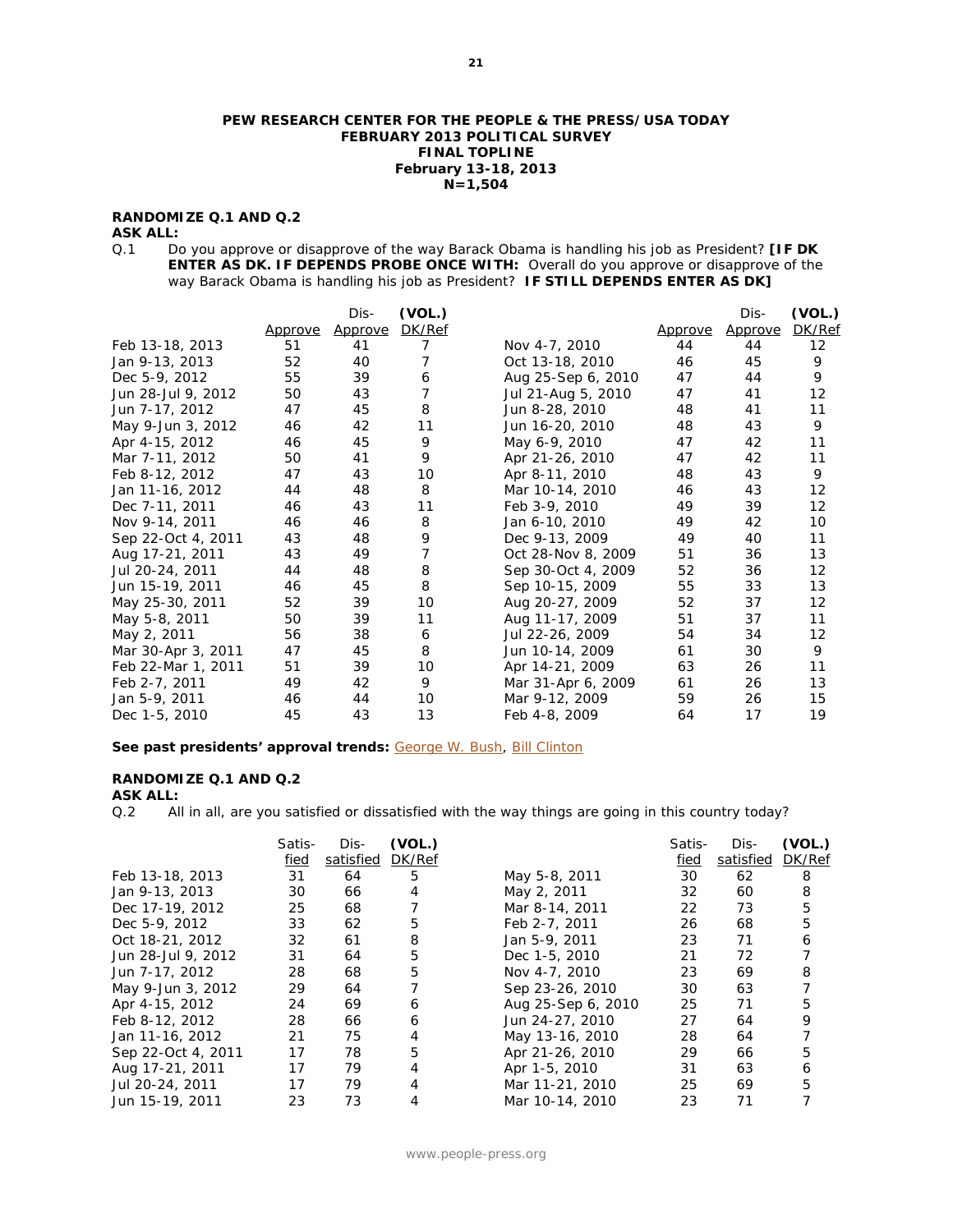#### **PEW RESEARCH CENTER FOR THE PEOPLE & THE PRESS/USA TODAY FEBRUARY 2013 POLITICAL SURVEY FINAL TOPLINE February 13-18, 2013 N=1,504**

# **RANDOMIZE Q.1 AND Q.2**

**ASK ALL:**<br>Q.1 Do Do you approve or disapprove of the way Barack Obama is handling his job as President? **[IF DK ENTER AS DK. IF DEPENDS PROBE ONCE WITH:** Overall do you approve or disapprove of the way Barack Obama is handling his job as President? **IF STILL DEPENDS ENTER AS DK]** 

|                    |                | Dis-    | (VOL.)         |                    |                | Dis-    | (VOL.)            |
|--------------------|----------------|---------|----------------|--------------------|----------------|---------|-------------------|
|                    | <u>Approve</u> | Approve | DK/Ref         |                    | <u>Approve</u> | Approve | DK/Ref            |
| Feb 13-18, 2013    | 51             | 41      | 7              | Nov 4-7, 2010      | 44             | 44      | $12 \overline{ }$ |
| Jan 9-13, 2013     | 52             | 40      | 7              | Oct 13-18, 2010    | 46             | 45      | 9                 |
| Dec 5-9, 2012      | 55             | 39      | 6              | Aug 25-Sep 6, 2010 | 47             | 44      | 9                 |
| Jun 28-Jul 9, 2012 | 50             | 43      | 7              | Jul 21-Aug 5, 2010 | 47             | 41      | 12                |
| Jun 7-17, 2012     | 47             | 45      | 8              | Jun 8-28, 2010     | 48             | 41      | 11                |
| May 9-Jun 3, 2012  | 46             | 42      | 11             | Jun 16-20, 2010    | 48             | 43      | 9                 |
| Apr 4-15, 2012     | 46             | 45      | 9              | May 6-9, 2010      | 47             | 42      | 11                |
| Mar 7-11, 2012     | 50             | 41      | 9              | Apr 21-26, 2010    | 47             | 42      | 11                |
| Feb 8-12, 2012     | 47             | 43      | 10             | Apr 8-11, 2010     | 48             | 43      | 9                 |
| Jan 11-16, 2012    | 44             | 48      | 8              | Mar 10-14, 2010    | 46             | 43      | $12 \overline{ }$ |
| Dec 7-11, 2011     | 46             | 43      | 11             | Feb 3-9, 2010      | 49             | 39      | 12                |
| Nov 9-14, 2011     | 46             | 46      | 8              | Jan 6-10, 2010     | 49             | 42      | 10                |
| Sep 22-Oct 4, 2011 | 43             | 48      | 9              | Dec 9-13, 2009     | 49             | 40      | 11                |
| Aug 17-21, 2011    | 43             | 49      | $\overline{7}$ | Oct 28-Nov 8, 2009 | 51             | 36      | 13                |
| Jul 20-24, 2011    | 44             | 48      | 8              | Sep 30-Oct 4, 2009 | 52             | 36      | 12                |
| Jun 15-19, 2011    | 46             | 45      | 8              | Sep 10-15, 2009    | 55             | 33      | 13                |
| May 25-30, 2011    | 52             | 39      | 10             | Aug 20-27, 2009    | 52             | 37      | 12                |
| May 5-8, 2011      | 50             | 39      | 11             | Aug 11-17, 2009    | 51             | 37      | 11                |
| May 2, 2011        | 56             | 38      | 6              | Jul 22-26, 2009    | 54             | 34      | 12                |
| Mar 30-Apr 3, 2011 | 47             | 45      | 8              | Jun 10-14, 2009    | 61             | 30      | 9                 |
| Feb 22-Mar 1, 2011 | 51             | 39      | 10             | Apr 14-21, 2009    | 63             | 26      | 11                |
| Feb 2-7, 2011      | 49             | 42      | 9              | Mar 31-Apr 6, 2009 | 61             | 26      | 13                |
| Jan 5-9, 2011      | 46             | 44      | 10             | Mar 9-12, 2009     | 59             | 26      | 15                |
| Dec 1-5, 2010      | 45             | 43      | 13             | Feb 4-8, 2009      | 64             | 17      | 19                |

#### See past presidents' approval trends: [George W. Bush,](http://www.people-press.org/files/legacy-questionnaires/483.pdf) **Bill Clinton**

# **RANDOMIZE Q.1 AND Q.2**

**ASK ALL:**<br>Q.2 All All in all, are you satisfied or dissatisfied with the way things are going in this country today?

|                    | Satis-<br>fied | Dis-<br>satisfied | (VOL.)<br>DK/Ref |                    | Satis-<br>fied | Dis-<br>satisfied | (VOL.)<br>DK/Ref |
|--------------------|----------------|-------------------|------------------|--------------------|----------------|-------------------|------------------|
| Feb 13-18, 2013    | 31             | 64                | 5                | May 5-8, 2011      | 30             | 62                | 8                |
| Jan 9-13, 2013     | 30             | 66                | 4                | May 2, 2011        | 32             | 60                | 8                |
| Dec 17-19, 2012    | 25             | 68                |                  | Mar 8-14, 2011     | 22             | 73                | 5                |
| Dec 5-9, 2012      | 33             | 62                | 5                | Feb 2-7, 2011      | 26             | 68                | 5                |
| Oct 18-21, 2012    | 32             | 61                | 8                | Jan 5-9, 2011      | 23             | 71                | 6                |
| Jun 28-Jul 9, 2012 | 31             | 64                | 5                | Dec 1-5, 2010      | 21             | 72                |                  |
| Jun 7-17, 2012     | 28             | 68                | 5                | Nov 4-7, 2010      | 23             | 69                | 8                |
| May 9-Jun 3, 2012  | 29             | 64                |                  | Sep 23-26, 2010    | 30             | 63                |                  |
| Apr 4-15, 2012     | 24             | 69                | 6                | Aug 25-Sep 6, 2010 | 25             | 71                | 5                |
| Feb 8-12, 2012     | 28             | 66                | 6                | Jun 24-27, 2010    | 27             | 64                | 9                |
| Jan 11-16, 2012    | 21             | 75                | 4                | May 13-16, 2010    | 28             | 64                |                  |
| Sep 22-Oct 4, 2011 | 17             | 78                | 5                | Apr 21-26, 2010    | 29             | 66                | 5                |
| Aug 17-21, 2011    | 17             | 79                | 4                | Apr 1-5, 2010      | 31             | 63                | 6                |
| Jul 20-24, 2011    | 17             | 79                | 4                | Mar 11-21, 2010    | 25             | 69                | 5                |
| Jun 15-19, 2011    | 23             | 73                | 4                | Mar 10-14, 2010    | 23             | 71                |                  |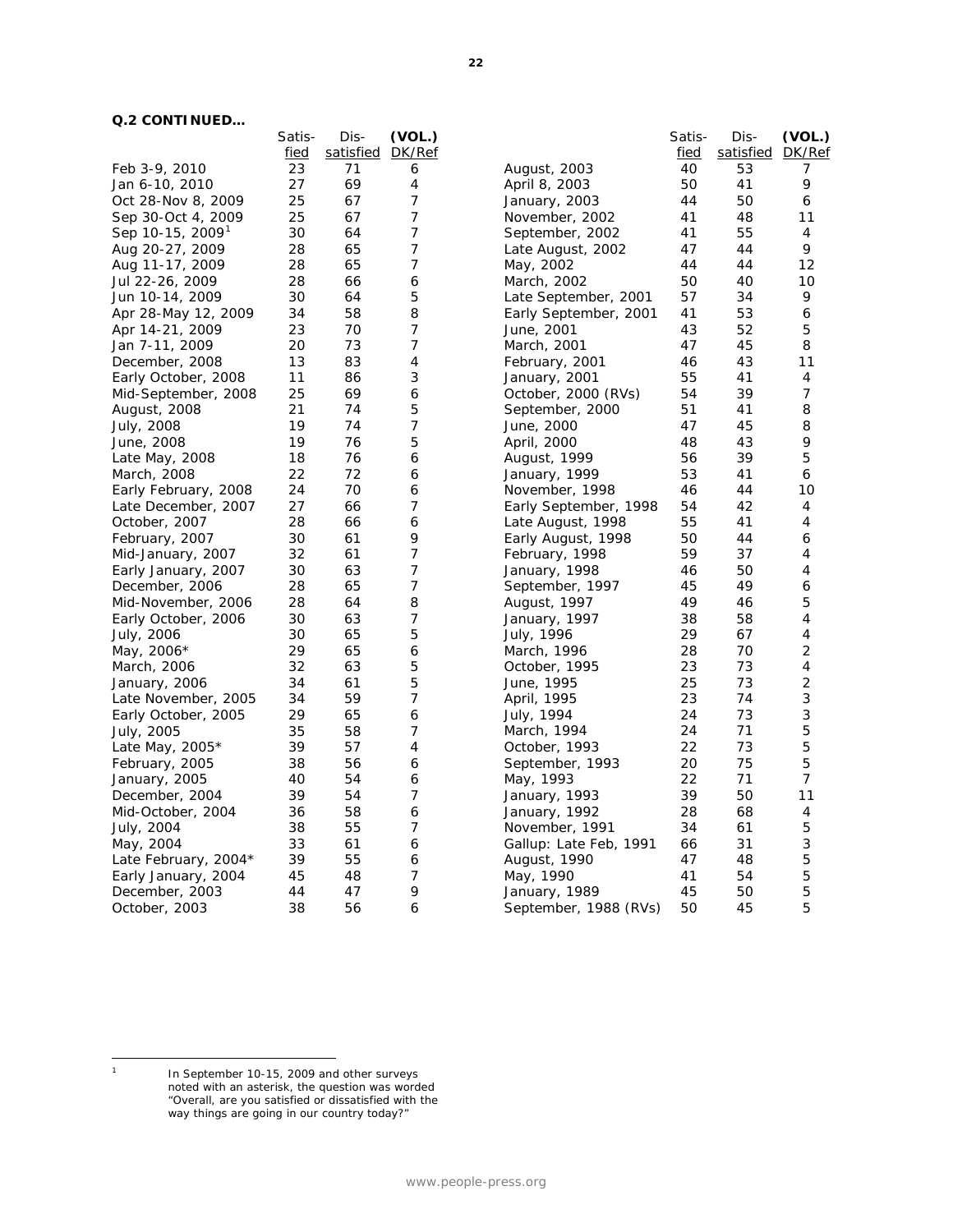# **Q.2 CONTINUED…**

|                              | Satis- | Dis-             | (VOL.)         |                        | Satis- | Dis-      | (VOL.) |
|------------------------------|--------|------------------|----------------|------------------------|--------|-----------|--------|
|                              | fied   | satisfied DK/Ref |                |                        | fied   | satisfied | DK/Ref |
| Feb 3-9, 2010                | 23     | 71               | 6              | August, 2003           | 40     | 53        | 7      |
| Jan 6-10, 2010               | 27     | 69               | 4              | April 8, 2003          | 50     | 41        | 9      |
| Oct 28-Nov 8, 2009           | 25     | 67               | 7              | January, 2003          | 44     | 50        | 6      |
| Sep 30-Oct 4, 2009           | 25     | 67               | 7              | November, 2002         | 41     | 48        | 11     |
| Sep 10-15, 2009 <sup>1</sup> | 30     | 64               | $\overline{7}$ | September, 2002        | 41     | 55        | 4      |
| Aug 20-27, 2009              | 28     | 65               | $\overline{7}$ | Late August, 2002      | 47     | 44        | 9      |
| Aug 11-17, 2009              | 28     | 65               | 7              | May, 2002              | 44     | 44        | 12     |
| Jul 22-26, 2009              | 28     | 66               | 6              | March, 2002            | 50     | 40        | 10     |
| Jun 10-14, 2009              | 30     | 64               | 5              | Late September, 2001   | 57     | 34        | 9      |
| Apr 28-May 12, 2009          | 34     | 58               | 8              | Early September, 2001  | 41     | 53        | 6      |
| Apr 14-21, 2009              | 23     | 70               | 7              | June, 2001             | 43     | 52        | 5      |
| Jan 7-11, 2009               | 20     | 73               | 7              | March, 2001            | 47     | 45        | 8      |
| December, 2008               | 13     | 83               | 4              | February, 2001         | 46     | 43        | 11     |
| Early October, 2008          | 11     | 86               | 3              | January, 2001          | 55     | 41        | 4      |
| Mid-September, 2008          | 25     | 69               | 6              | October, 2000 (RVs)    | 54     | 39        | 7      |
| August, 2008                 | 21     | 74               | 5              | September, 2000        | 51     | 41        | 8      |
| July, 2008                   | 19     | 74               | $\overline{7}$ | June, 2000             | 47     | 45        | 8      |
| June, 2008                   | 19     | 76               | 5              | April, 2000            | 48     | 43        | 9      |
| Late May, 2008               | 18     | 76               | 6              | August, 1999           | 56     | 39        | 5      |
| March, 2008                  | 22     | 72               | 6              | January, 1999          | 53     | 41        | 6      |
| Early February, 2008         | 24     | 70               | 6              | November, 1998         | 46     | 44        | 10     |
| Late December, 2007          | 27     | 66               | 7              | Early September, 1998  | 54     | 42        | 4      |
| October, 2007                | 28     | 66               | 6              | Late August, 1998      | 55     | 41        | 4      |
| February, 2007               | 30     | 61               | 9              | Early August, 1998     | 50     | 44        | 6      |
| Mid-January, 2007            | 32     | 61               | 7              | February, 1998         | 59     | 37        | 4      |
| Early January, 2007          | 30     | 63               | 7              | January, 1998          | 46     | 50        | 4      |
| December, 2006               | 28     | 65               | 7              | September, 1997        | 45     | 49        | 6      |
| Mid-November, 2006           | 28     | 64               | 8              | August, 1997           | 49     | 46        | 5      |
| Early October, 2006          | 30     | 63               | 7              | January, 1997          | 38     | 58        | 4      |
| July, 2006                   | 30     | 65               | 5              | July, 1996             | 29     | 67        | 4      |
| May, 2006*                   | 29     | 65               | 6              | March, 1996            | 28     | 70        | 2      |
| March, 2006                  | 32     | 63               | 5              | October, 1995          | 23     | 73        | 4      |
| January, 2006                | 34     | 61               | 5              | June, 1995             | 25     | 73        | 2      |
| Late November, 2005          | 34     | 59               | 7              | April, 1995            | 23     | 74        | 3      |
| Early October, 2005          | 29     | 65               | 6              | July, 1994             | 24     | 73        | 3      |
| July, 2005                   | 35     | 58               | 7              | March, 1994            | 24     | 71        | 5      |
| Late May, $2005*$            | 39     | 57               | 4              | October, 1993          | 22     | 73        | 5      |
| February, 2005               | 38     | 56               | 6              | September, 1993        | 20     | 75        | 5      |
|                              | 40     | 54               | 6              | May, 1993              | 22     | 71        | 7      |
| January, 2005                | 39     | 54               | 7              |                        | 39     | 50        | 11     |
| December, 2004               | 36     | 58               |                | January, 1993          | 28     | 68        | 4      |
| Mid-October, 2004            | 38     | 55               | 6<br>7         | January, 1992          | 34     | 61        | 5      |
| July, 2004                   |        |                  |                | November, 1991         |        |           |        |
| May, 2004                    | 33     | 61               | 6              | Gallup: Late Feb, 1991 | 66     | 31        | 3      |
| Late February, 2004*         | 39     | 55               | 6              | August, 1990           | 47     | 48        | 5      |
| Early January, 2004          | 45     | 48               | 7              | May, 1990              | 41     | 54        | 5<br>5 |
| December, 2003               | 44     | 47               | 9              | January, 1989          | 45     | 50        |        |
| October, 2003                | 38     | 56               | 6              | September, 1988 (RVs)  | 50     | 45        | 5      |

<span id="page-1-0"></span> $\mathbf 1$ 

<sup>1</sup> In September 10-15, 2009 and other surveys noted with an asterisk, the question was worded "Overall, are you satisfied or dissatisfied with the way things are going in our country today?"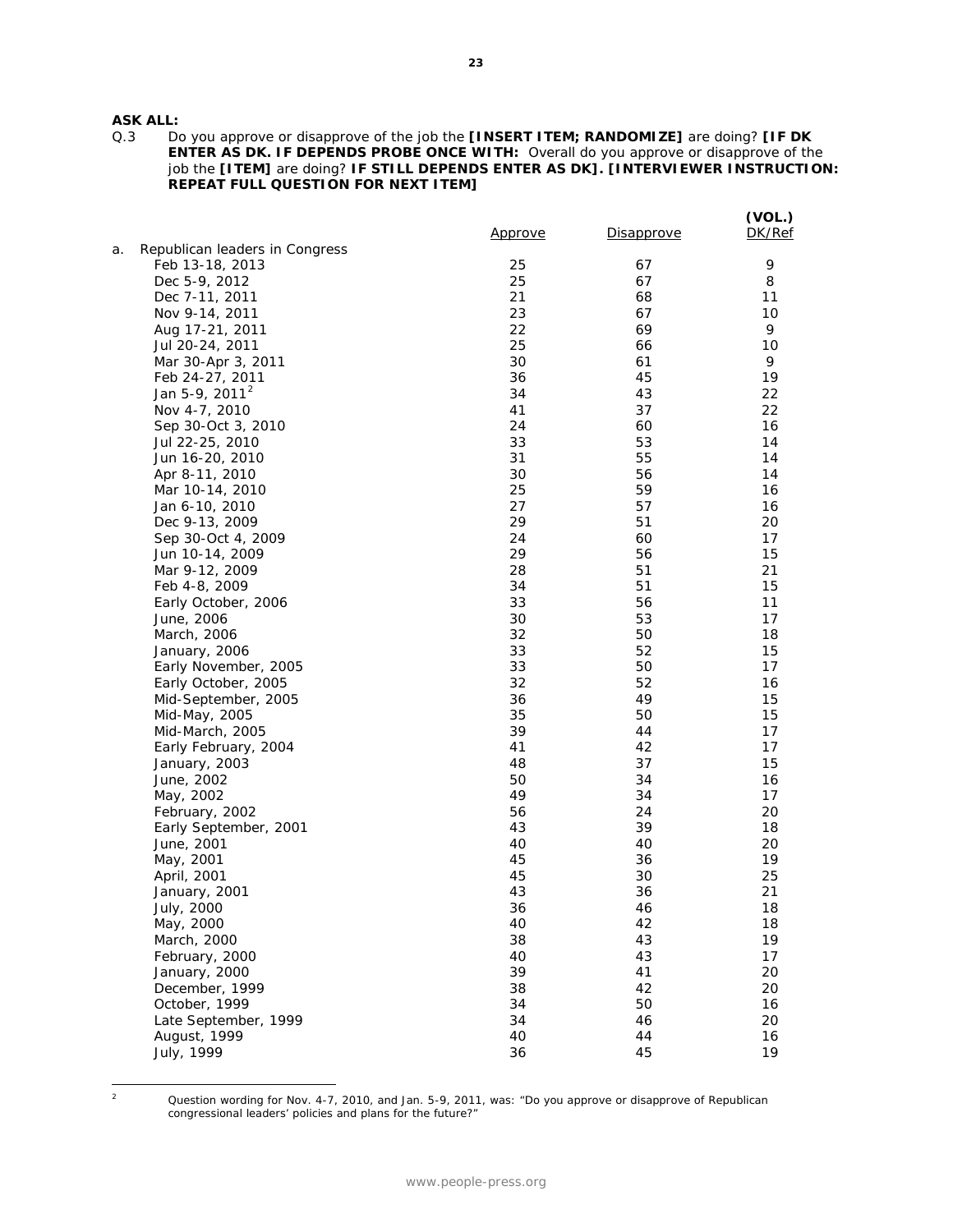# **ASK ALL:**

Q.3 Do you approve or disapprove of the job the **[INSERT ITEM; RANDOMIZE]** are doing? **[IF DK ENTER AS DK. IF DEPENDS PROBE ONCE WITH:** Overall do you approve or disapprove of the job the **[ITEM]** are doing? **IF STILL DEPENDS ENTER AS DK]. [INTERVIEWER INSTRUCTION: REPEAT FULL QUESTION FOR NEXT ITEM]**

|    |                                | <u>Approve</u> | Disapprove | (VOL.)<br>DK/Ref |
|----|--------------------------------|----------------|------------|------------------|
| а. | Republican leaders in Congress |                |            |                  |
|    | Feb 13-18, 2013                | 25             | 67         | 9                |
|    | Dec 5-9, 2012                  | 25             | 67         | 8                |
|    | Dec 7-11, 2011                 | 21             | 68         | 11               |
|    | Nov 9-14, 2011                 | 23             | 67         | 10               |
|    | Aug 17-21, 2011                | 22             | 69         | 9                |
|    | Jul 20-24, 2011                | 25             | 66         | 10               |
|    | Mar 30-Apr 3, 2011             | 30             | 61         | 9                |
|    | Feb 24-27, 2011                | 36             | 45         | 19               |
|    | Jan 5-9, 2011 <sup>2</sup>     | 34             | 43         | 22               |
|    | Nov 4-7, 2010                  | 41             | 37         | 22               |
|    | Sep 30-Oct 3, 2010             | 24             | 60         | 16               |
|    | Jul 22-25, 2010                | 33             | 53         | 14               |
|    | Jun 16-20, 2010                | 31             | 55         | 14               |
|    | Apr 8-11, 2010                 | 30             | 56         | 14               |
|    | Mar 10-14, 2010                | 25             | 59         | 16               |
|    | Jan 6-10, 2010                 | 27             | 57         | 16               |
|    | Dec 9-13, 2009                 | 29             | 51         | 20               |
|    | Sep 30-Oct 4, 2009             | 24             | 60         | 17               |
|    | Jun 10-14, 2009                | 29             | 56         | 15               |
|    | Mar 9-12, 2009                 | 28             | 51         | 21               |
|    | Feb 4-8, 2009                  | 34             | 51         | 15               |
|    | Early October, 2006            | 33             | 56         | 11               |
|    | June, 2006                     | 30             | 53         | 17               |
|    | March, 2006                    | 32             | 50         | 18               |
|    | January, 2006                  | 33             | 52         | 15               |
|    | Early November, 2005           | 33             | 50         | 17               |
|    | Early October, 2005            | 32             | 52         | 16               |
|    | Mid-September, 2005            | 36             | 49         | 15               |
|    | Mid-May, 2005                  | 35             | 50         | 15               |
|    | Mid-March, 2005                | 39             | 44         | 17               |
|    | Early February, 2004           | 41             | 42         | 17               |
|    | January, 2003                  | 48             | 37         | 15               |
|    | June, 2002                     | 50             | 34         | 16               |
|    | May, 2002                      | 49             | 34         | 17               |
|    | February, 2002                 | 56             | 24         | 20               |
|    | Early September, 2001          | 43             | 39         | 18               |
|    | June, 2001                     | 40             | 40         | 20               |
|    | May, 2001                      | 45             | 36         | 19               |
|    | April, 2001                    | 45             | 30         | 25               |
|    | January, 2001                  | 43             | 36         | 21               |
|    | July, 2000                     | 36             | 46         | 18               |
|    | May, 2000                      | 40             | 42         | 18               |
|    | March, 2000                    | 38             | 43         | 19               |
|    | February, 2000                 | 40             | 43         | 17               |
|    | January, 2000                  | 39             | 41         | 20               |
|    | December, 1999                 | 38             | 42         | 20               |
|    | October, 1999                  | 34             | 50         | 16               |
|    | Late September, 1999           | 34             | 46         | 20               |
|    | August, 1999                   | 40             | 44         | 16               |
|    | July, 1999                     | 36             | 45         | 19               |
|    |                                |                |            |                  |

<span id="page-2-0"></span> $\,$  2  $\,$ 

<sup>2</sup> Question wording for Nov. 4-7, 2010, and Jan. 5-9, 2011, was: "Do you approve or disapprove of Republican congressional leaders' policies and plans for the future?"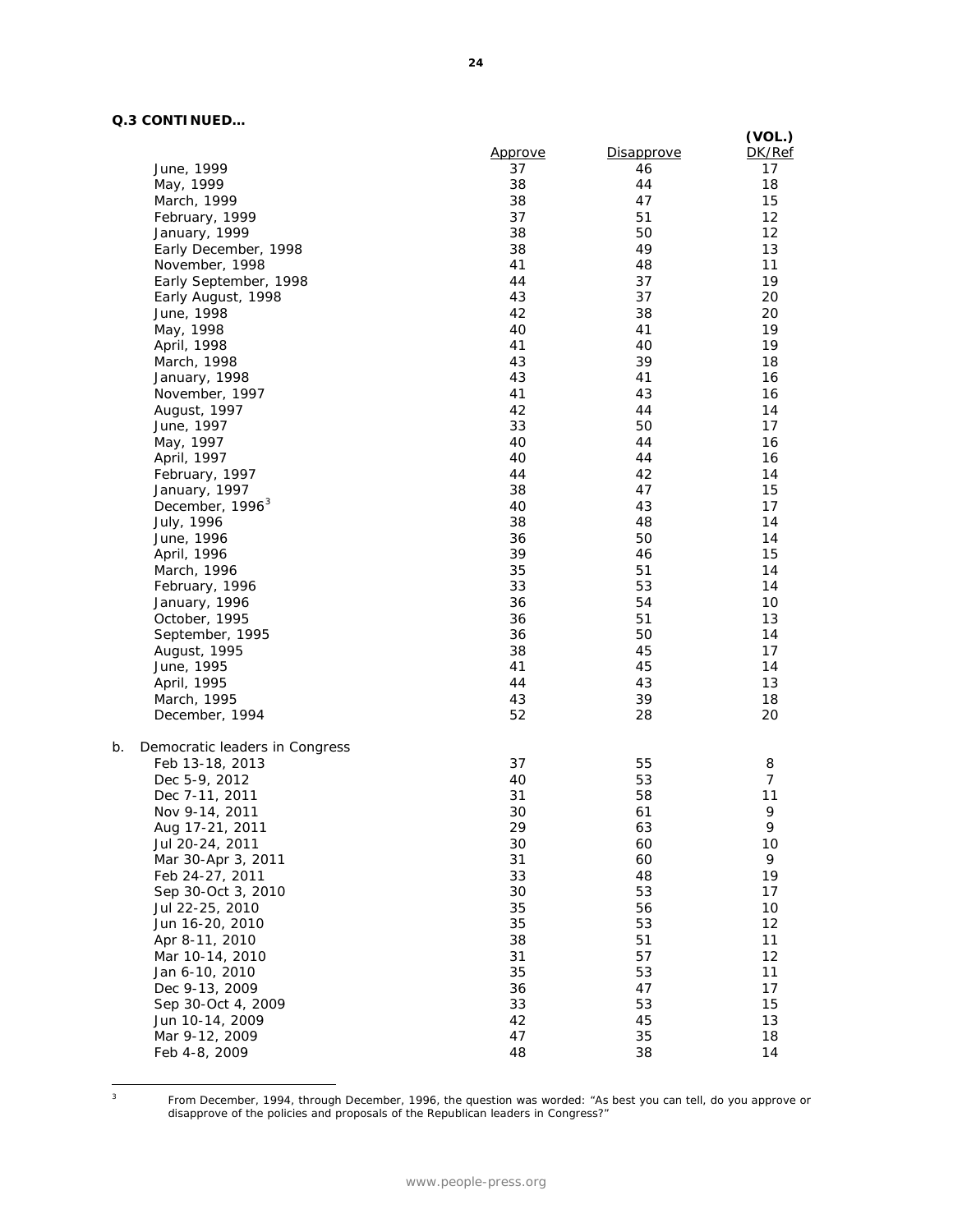# **Q.3 CONTINUED…**

|                                              | <u>Approve</u> | <b>Disapprove</b> | (VOL.)<br>DK/Ref |
|----------------------------------------------|----------------|-------------------|------------------|
| June, 1999                                   | 37             | 46                | 17               |
| May, 1999                                    | 38             | 44                | 18               |
| March, 1999                                  | 38             | 47                | 15               |
| February, 1999                               | 37             | 51                | 12               |
| January, 1999                                | 38             | 50                | 12               |
| Early December, 1998                         | 38             | 49                | 13               |
| November, 1998                               | 41             | 48                | 11               |
| Early September, 1998                        | 44             | 37                | 19               |
| Early August, 1998                           | 43             | 37                | 20               |
| June, 1998                                   | 42             | 38                | 20               |
| May, 1998                                    | 40             | 41                | 19               |
| April, 1998                                  | 41             | 40                | 19               |
| March, 1998                                  | 43             | 39                | 18               |
| January, 1998                                | 43             | 41                | 16               |
| November, 1997                               | 41             | 43                | 16               |
| August, 1997                                 | 42             | 44                | 14               |
| June, 1997                                   | 33             | 50                | 17               |
| May, 1997                                    | 40             | 44                | 16               |
| April, 1997                                  | 40             | 44                | 16               |
| February, 1997                               | 44             | 42                | 14               |
|                                              | 38             | 47                | 15               |
| January, 1997<br>December, 1996 <sup>3</sup> | 40             | 43                | 17               |
|                                              |                | 48                | 14               |
| July, 1996                                   | 38             |                   |                  |
| June, 1996                                   | 36<br>39       | 50<br>46          | 14<br>15         |
| April, 1996                                  | 35             | 51                |                  |
| March, 1996                                  |                |                   | 14               |
| February, 1996                               | 33             | 53                | 14               |
| January, 1996                                | 36             | 54                | 10               |
| October, 1995                                | 36             | 51                | 13               |
| September, 1995                              | 36             | 50                | 14               |
| August, 1995                                 | 38             | 45                | 17               |
| June, 1995                                   | 41             | 45                | 14               |
| April, 1995                                  | 44             | 43                | 13               |
| March, 1995                                  | 43             | 39                | 18               |
| December, 1994                               | 52             | 28                | 20               |
| b.<br>Democratic leaders in Congress         |                |                   |                  |
| Feb 13-18, 2013                              | 37             | 55                | 8                |
| Dec 5-9, 2012                                | 40             | 53                | $\overline{7}$   |
| Dec 7-11, 2011                               | 31             | 58                | 11               |
| Nov 9-14, 2011                               | 30             | 61                | 9                |
| Aug 17-21, 2011                              | 29             | 63                | 9                |
| Jul 20-24, 2011                              | 30             | 60                | 10               |
| Mar 30-Apr 3, 2011                           | 31             | 60                | 9                |
| Feb 24-27, 2011                              | 33             | 48                | 19               |
| Sep 30-Oct 3, 2010                           | 30             | 53                | 17               |
| Jul 22-25, 2010                              | 35             | 56                | 10               |
| Jun 16-20, 2010                              | 35             | 53                | 12               |
| Apr 8-11, 2010                               | 38             | 51                | 11               |
| Mar 10-14, 2010                              | 31             | 57                | 12               |
| Jan 6-10, 2010                               | 35             | 53                | 11               |
| Dec 9-13, 2009                               | 36             | 47                | 17               |
| Sep 30-Oct 4, 2009                           | 33             | 53                | 15               |
| Jun 10-14, 2009                              | 42             | 45                | 13               |
| Mar 9-12, 2009                               | 47             | 35                | 18               |
| Feb 4-8, 2009                                | 48             | 38                | 14               |

<span id="page-3-0"></span> $\overline{3}$ 

<sup>3</sup> From December, 1994, through December, 1996, the question was worded: "As best you can tell, do you approve or disapprove of the policies and proposals of the Republican leaders in Congress?"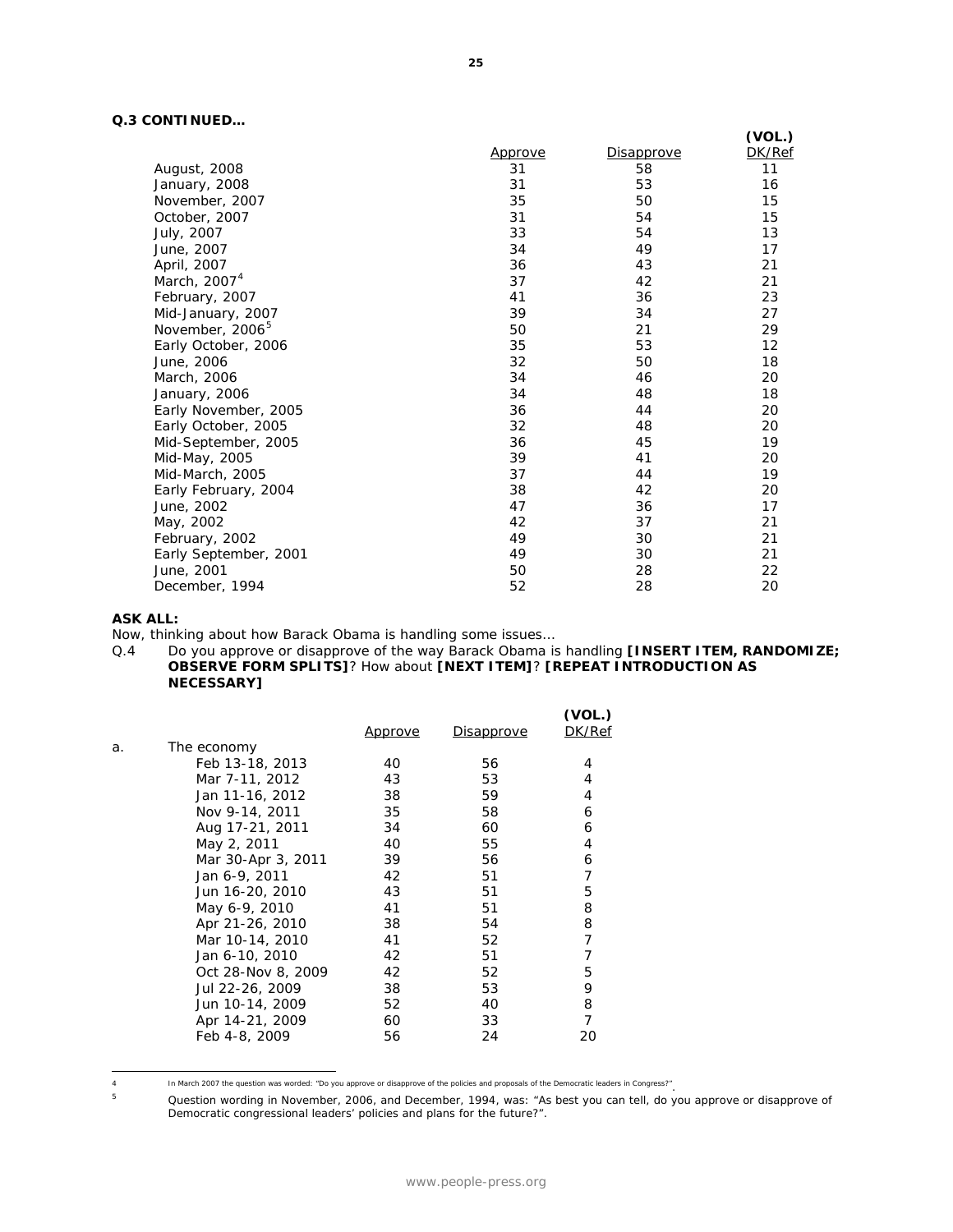# **Q.3 CONTINUED…**

|                             |         |                   | (VOL.) |
|-----------------------------|---------|-------------------|--------|
|                             | Approve | <b>Disapprove</b> | DK/Ref |
| August, 2008                | 31      | 58                | 11     |
| January, 2008               | 31      | 53                | 16     |
| November, 2007              | 35      | 50                | 15     |
| October, 2007               | 31      | 54                | 15     |
| July, 2007                  | 33      | 54                | 13     |
| June, 2007                  | 34      | 49                | 17     |
| April, 2007                 | 36      | 43                | 21     |
| March, 2007 <sup>4</sup>    | 37      | 42                | 21     |
| February, 2007              | 41      | 36                | 23     |
| Mid-January, 2007           | 39      | 34                | 27     |
| November, 2006 <sup>5</sup> | 50      | 21                | 29     |
| Early October, 2006         | 35      | 53                | 12     |
| June, 2006                  | 32      | 50                | 18     |
| March, 2006                 | 34      | 46                | 20     |
| January, 2006               | 34      | 48                | 18     |
| Early November, 2005        | 36      | 44                | 20     |
| Early October, 2005         | 32      | 48                | 20     |
| Mid-September, 2005         | 36      | 45                | 19     |
| Mid-May, 2005               | 39      | 41                | 20     |
| Mid-March, 2005             | 37      | 44                | 19     |
| Early February, 2004        | 38      | 42                | 20     |
| June, 2002                  | 47      | 36                | 17     |
| May, 2002                   | 42      | 37                | 21     |
| February, 2002              | 49      | 30                | 21     |
| Early September, 2001       | 49      | 30                | 21     |
| June, 2001                  | 50      | 28                | 22     |
| December, 1994              | 52      | 28                | 20     |

#### **ASK ALL:**

Now, thinking about how Barack Obama is handling some issues...<br>Q.4 Do you approve or disapprove of the way Barack Obama is

Do you approve or disapprove of the way Barack Obama is handling **[INSERT ITEM, RANDOMIZE**; **OBSERVE FORM SPLITS]**? How about **[NEXT ITEM]**? **[REPEAT INTRODUCTION AS NECESSARY]**

|    |                    | <u>Approve</u> | <u>Disapprove</u> | (VOL.)<br>DK/Ref |
|----|--------------------|----------------|-------------------|------------------|
| a. | The economy        |                |                   |                  |
|    | Feb 13-18, 2013    | 40             | 56                | 4                |
|    | Mar 7-11, 2012     | 43             | 53                | 4                |
|    | Jan 11-16, 2012    | 38             | 59                | 4                |
|    | Nov 9-14, 2011     | 35             | 58                | 6                |
|    | Aug 17-21, 2011    | 34             | 60                | 6                |
|    | May 2, 2011        | 40             | 55                | 4                |
|    | Mar 30-Apr 3, 2011 | 39             | 56                | 6                |
|    | Jan 6-9, 2011      | 42             | 51                | 7                |
|    | Jun 16-20, 2010    | 43             | 51                | 5                |
|    | May 6-9, 2010      | 41             | 51                | 8                |
|    | Apr 21-26, 2010    | 38             | 54                | 8                |
|    | Mar 10-14, 2010    | 41             | 52                | 7                |
|    | Jan 6-10, 2010     | 42             | 51                | 7                |
|    | Oct 28-Nov 8, 2009 | 42             | 52                | 5                |
|    | Jul 22-26, 2009    | 38             | 53                | 9                |
|    | Jun 10-14, 2009    | 52             | 40                | 8                |
|    | Apr 14-21, 2009    | 60             | 33                | 7                |
|    | Feb 4-8, 2009      | 56             | 24                | 20               |
|    |                    |                |                   |                  |

<span id="page-4-1"></span><span id="page-4-0"></span> $\sqrt{4}$ In March 2007 the question was worded: "Do you approve or disapprove of the policies and proposals of the Democratic leaders in Congress?".<br>Out position wording in November 2006 and December 1994 was: "As best you can tell

Question wording in November, 2006, and December, 1994, was: "As best you can tell, do you approve or disapprove of Democratic congressional leaders' policies and plans for the future?".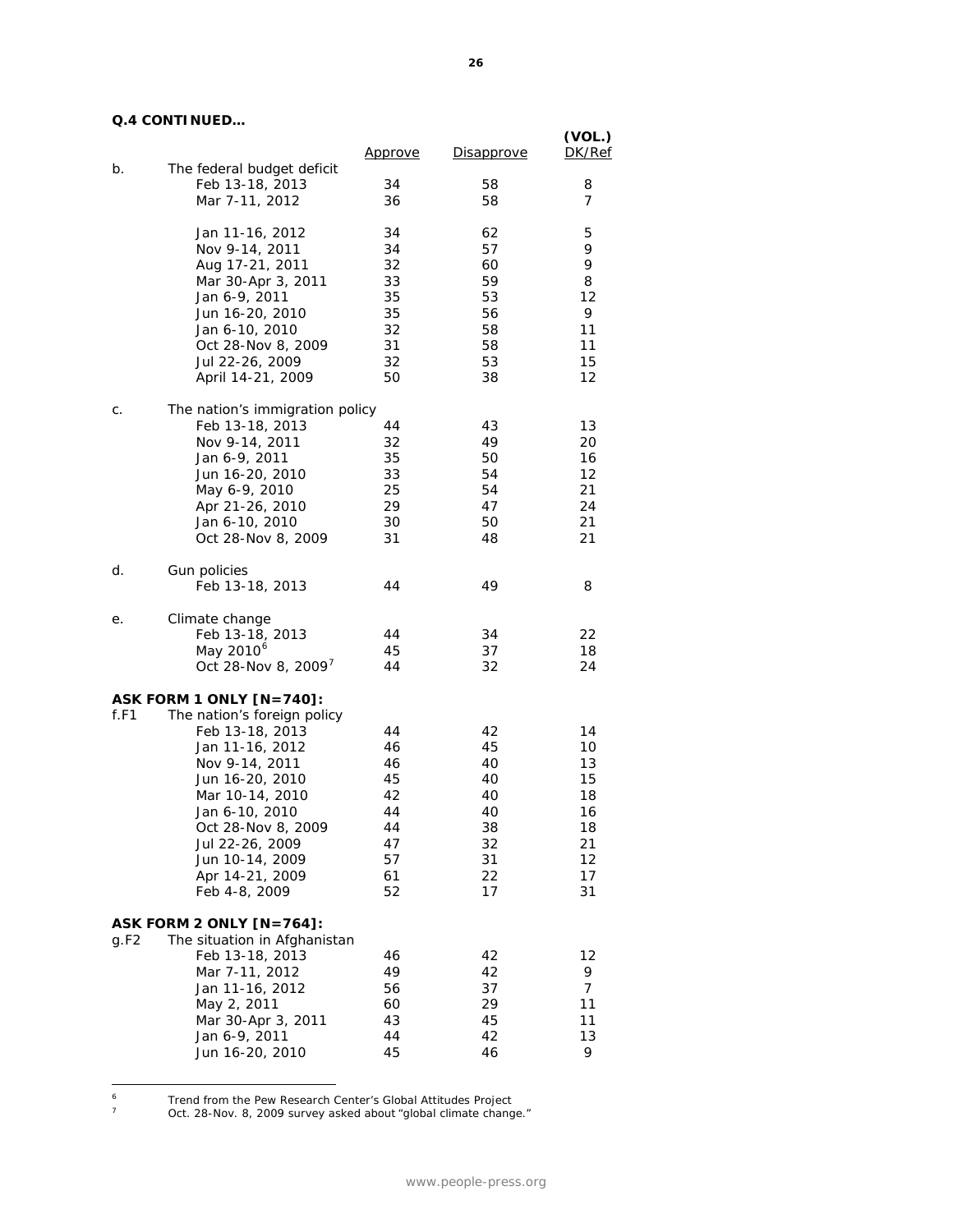# **Q.4 CONTINUED…**

|      |                                                          | <u>Approve</u> | Disapprove | (VOL.)<br>DK/Ref |
|------|----------------------------------------------------------|----------------|------------|------------------|
| b.   | The federal budget deficit                               |                |            |                  |
|      | Feb 13-18, 2013<br>Mar 7-11, 2012                        | 34<br>36       | 58<br>58   | 8<br>7           |
|      |                                                          |                |            |                  |
|      | Jan 11-16, 2012                                          | 34             | 62         | 5                |
|      | Nov 9-14, 2011                                           | 34             | 57         | 9                |
|      | Aug 17-21, 2011                                          | 32             | 60         | 9                |
|      | Mar 30-Apr 3, 2011                                       | 33             | 59         | 8                |
|      | Jan 6-9, 2011                                            | 35             | 53         | 12               |
|      | Jun 16-20, 2010                                          | 35             | 56         | 9                |
|      | Jan 6-10, 2010                                           | 32             | 58         | 11               |
|      | Oct 28-Nov 8, 2009                                       | 31             | 58         | 11               |
|      | Jul 22-26, 2009                                          | 32             | 53         | 15               |
|      | April 14-21, 2009                                        | 50             | 38         | 12               |
| C.   | The nation's immigration policy                          |                |            |                  |
|      | Feb 13-18, 2013                                          | 44             | 43         | 13               |
|      | Nov 9-14, 2011                                           | 32             | 49         | 20               |
|      | Jan 6-9, 2011                                            | 35             | 50         | 16               |
|      | Jun 16-20, 2010                                          | 33             | 54         | 12               |
|      | May 6-9, 2010                                            | 25             | 54         | 21               |
|      | Apr 21-26, 2010                                          | 29             | 47         | 24               |
|      | Jan 6-10, 2010                                           | 30             | 50         | 21               |
|      | Oct 28-Nov 8, 2009                                       | 31             | 48         | 21               |
| d.   | Gun policies                                             |                |            |                  |
|      | Feb 13-18, 2013                                          | 44             | 49         | 8                |
| е.   | Climate change                                           |                |            |                  |
|      | Feb 13-18, 2013                                          | 44             | 34         | 22               |
|      | May 2010 <sup>6</sup>                                    | 45             | 37         | 18               |
|      | Oct 28-Nov 8, 2009 <sup>7</sup>                          | 44             | 32         | 24               |
|      | ASK FORM 1 ONLY [N=740]:                                 |                |            |                  |
| f.F1 | The nation's foreign policy                              |                |            |                  |
|      | Feb 13-18, 2013                                          | 44             | 42         | 14               |
|      | Jan 11-16, 2012                                          | 46             | 45         | 10               |
|      | Nov 9-14, 2011                                           | 46             | 40         | 13               |
|      | Jun 16-20, 2010                                          | 45             | 40         | 15               |
|      | Mar 10-14, 2010                                          | 42             | 40         | 18               |
|      | Jan 6-10, 2010                                           | 44             | 40         | 16               |
|      | Oct 28-Nov 8, 2009                                       | 44             | 38         | 18               |
|      | Jul 22-26, 2009                                          | 47             | 32         | 21               |
|      | Jun 10-14, 2009                                          | 57             | 31         | 12               |
|      | Apr 14-21, 2009<br>Feb 4-8, 2009                         | 61<br>52       | 22<br>17   | 17<br>31         |
|      |                                                          |                |            |                  |
| g.F2 | ASK FORM 2 ONLY [N=764]:<br>The situation in Afghanistan |                |            |                  |
|      | Feb 13-18, 2013                                          | 46             | 42         | 12               |
|      | Mar 7-11, 2012                                           | 49             | 42         | 9                |
|      | Jan 11-16, 2012                                          | 56             | 37         | 7                |
|      | May 2, 2011                                              | 60             | 29         | 11               |
|      | Mar 30-Apr 3, 2011                                       | 43             | 45         | 11               |
|      | Jan 6-9, 2011                                            | 44             | 42         | 13               |
|      | Jun 16-20, 2010                                          | 45             | 46         | 9                |

<span id="page-5-1"></span><span id="page-5-0"></span><sup>6</sup> Trend from the Pew Research Center's Global Attitudes Project

 $\overline{a}$ 

 $7$  Oct. 28-Nov. 8, 2009 survey asked about "global climate change."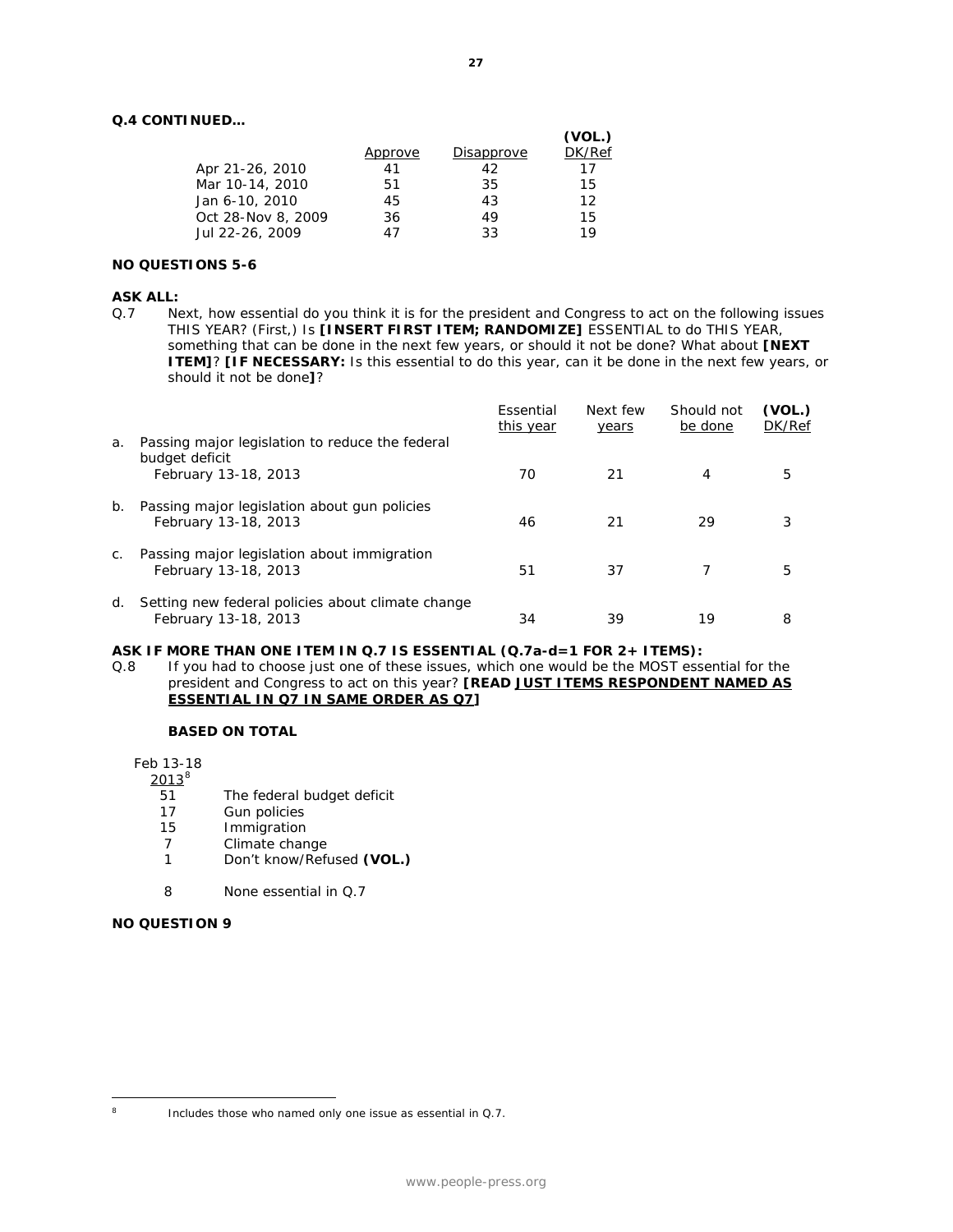# **Q.4 CONTINUED…**

|         |            | (VOL.) |
|---------|------------|--------|
| Approve | Disapprove | DK/Ref |
| 41      | 42         | 17     |
| 51      | 35         | 15     |
| 45      | 43         | 12     |
| 36      | 49         | 15     |
| 47      | 33         | 19     |
|         |            |        |

### **NO QUESTIONS 5-6**

#### **ASK ALL:**

Q.7 Next, how essential do you think it is for the president and Congress to act on the following issues THIS YEAR? (First,) Is **[INSERT FIRST ITEM; RANDOMIZE]** ESSENTIAL to do THIS YEAR, something that can be done in the next few years, or should it not be done? What about **[NEXT ITEM]**? **[IF NECESSARY:** Is this essential to do this year, can it be done in the next few years, or should it not be done**]**?

|             |                                                                                           | Essential<br>this year | Next few<br>years | Should not<br>be done | (VOL.)<br>DK/Ref |
|-------------|-------------------------------------------------------------------------------------------|------------------------|-------------------|-----------------------|------------------|
| a.          | Passing major legislation to reduce the federal<br>budget deficit<br>February 13-18, 2013 | 70                     | 21                | 4                     | 5                |
| $b_{\cdot}$ | Passing major legislation about gun policies<br>February 13-18, 2013                      | 46                     | 21                | 29                    |                  |
| C.          | Passing major legislation about immigration<br>February 13-18, 2013                       | 51                     | 37                |                       | 5                |
| d.          | Setting new federal policies about climate change<br>February 13-18, 2013                 | 34                     | 39                | 19                    | 8                |

#### **ASK IF MORE THAN ONE ITEM IN Q.7 IS ESSENTIAL (Q.7a-d=1 FOR 2+ ITEMS):**

Q.8 If you had to choose just one of these issues, which one would be the MOST essential for the president and Congress to act on this year? **[READ JUST ITEMS RESPONDENT NAMED AS ESSENTIAL IN Q7 IN SAME ORDER AS Q7]**

#### **BASED ON TOTAL**

Feb 13-18

 $\frac{2013^8}{51}$  $\frac{2013^8}{51}$  $\frac{2013^8}{51}$ 

- 51 The federal budget deficit<br>17 Gun policies
- Gun policies
- 15 Immigration<br>7 Climate chan
- Climate change
- 1 Don't know/Refused **(VOL.)**
- *8 None essential in Q.7*

## **NO QUESTION 9**

<span id="page-6-0"></span> $\overline{a}$ 

<sup>&</sup>lt;sup>8</sup> Includes those who named only one issue as essential in Q.7.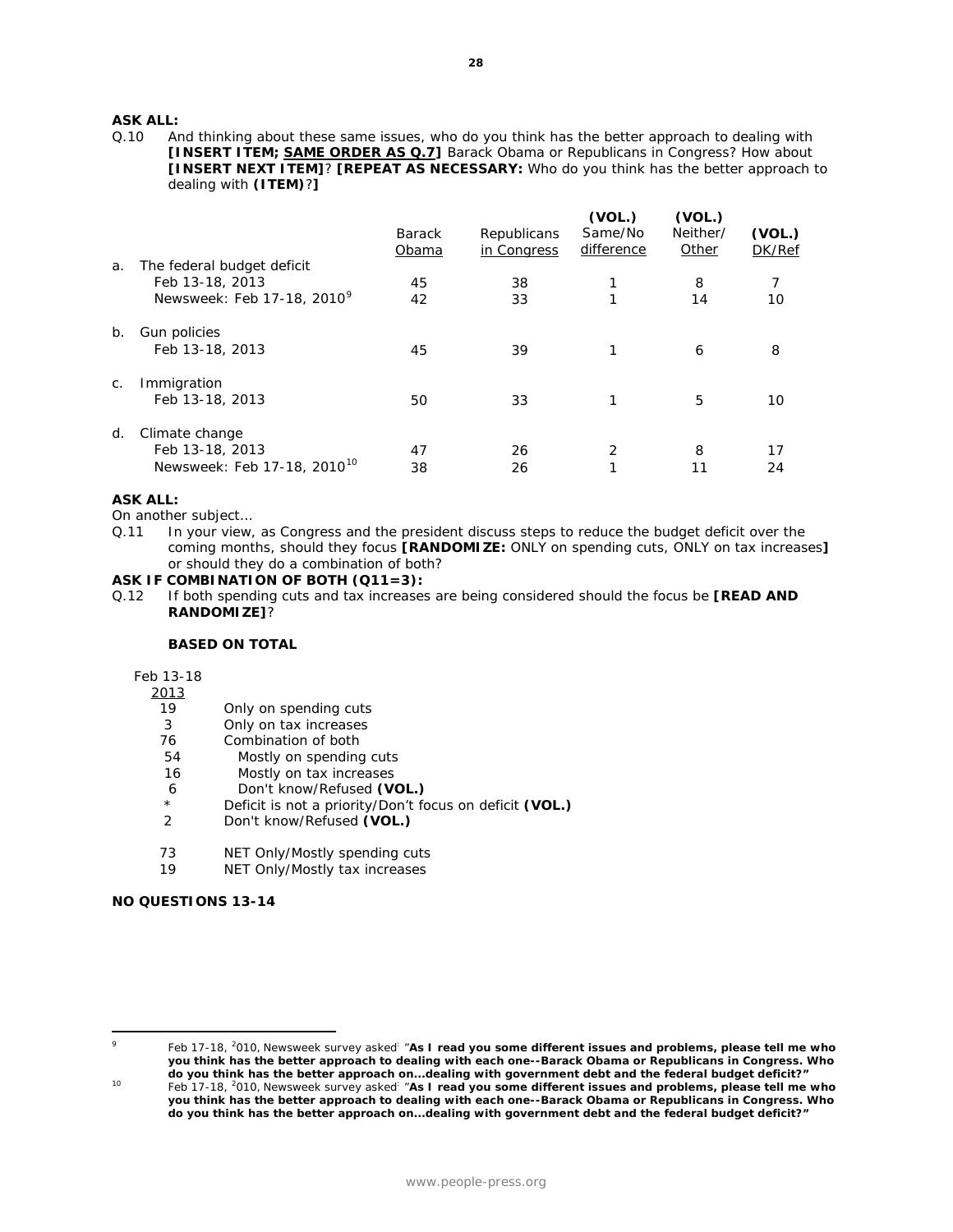# **ASK ALL:**<br>0.10 A

And thinking about these same issues, who do you think has the better approach to dealing with **[INSERT ITEM; SAME ORDER AS Q.7]** Barack Obama or Republicans in Congress? How about **[INSERT NEXT ITEM]**? **[REPEAT AS NECESSARY:** Who do you think has the better approach to dealing with **(ITEM)**?**]**

|    |                                                                              | <b>Barack</b><br>Obama | Republicans<br>in Congress | (VOL.)<br>Same/No<br>difference | (VOL.)<br>Neither/<br>Other | (VOL.)<br>DK/Ref |
|----|------------------------------------------------------------------------------|------------------------|----------------------------|---------------------------------|-----------------------------|------------------|
| a. | The federal budget deficit<br>Feb 13-18, 2013<br>Newsweek: Feb 17-18, 20109  | 45<br>42               | 38<br>33                   | 1<br>1                          | 8<br>14                     | 7<br>10          |
| b. | Gun policies<br>Feb 13-18, 2013                                              | 45                     | 39                         | 1                               | 6                           | 8                |
| C. | Immigration<br>Feb 13-18, 2013                                               | 50                     | 33                         | 1                               | 5                           | 10               |
| d. | Climate change<br>Feb 13-18, 2013<br>Newsweek: Feb 17-18, 2010 <sup>10</sup> | 47<br>38               | 26<br>26                   | 2<br>1                          | 8<br>11                     | 17<br>24         |

#### **ASK ALL:**

On another subject…

Q.11 In your view, as Congress and the president discuss steps to reduce the budget deficit over the coming months, should they focus **[RANDOMIZE:** ONLY on spending cuts, ONLY on tax increases**]** or should they do a combination of both?

#### **ASK IF COMBINATION OF BOTH (Q11=3):**

Q.12 If both spending cuts and tax increases are being considered should the focus be **[READ AND RANDOMIZE]**?

#### **BASED ON TOTAL**

Feb 13-18

2013<br>19

- Only on spending cuts
- 3 Only on tax increases
- 76 Combination of both
- 54 Mostly on spending cuts
- 16 Mostly on tax increases
- 6 Don't know/Refused **(VOL.)**
- \* Deficit is not a priority/Don't focus on deficit **(VOL.)**
- 2 Don't know/Refused **(VOL.)**
- 73 NET Only/Mostly spending cuts
- 19 NET Only/Mostly tax increases

## **NO QUESTIONS 13-14**

<span id="page-7-0"></span> $\overline{a}$ 

<sup>9</sup> Feb 17-18, 2 010, Newsweek survey asked: "**As I read you some different issues and problems, please tell me who you think has the better approach to dealing with each one--Barack Obama or Republicans in Congress. Who do you think has the better approach on...dealing with government debt and the federal budget deficit?"**

<span id="page-7-1"></span><sup>&</sup>lt;sup>10</sup> Feb 17-18, <sup>2</sup>010, Newsweek survey asked<sup>:</sup> "As I read you some different issues and problems, please tell me who **you think has the better approach to dealing with each one--Barack Obama or Republicans in Congress. Who do you think has the better approach on...dealing with government debt and the federal budget deficit?"**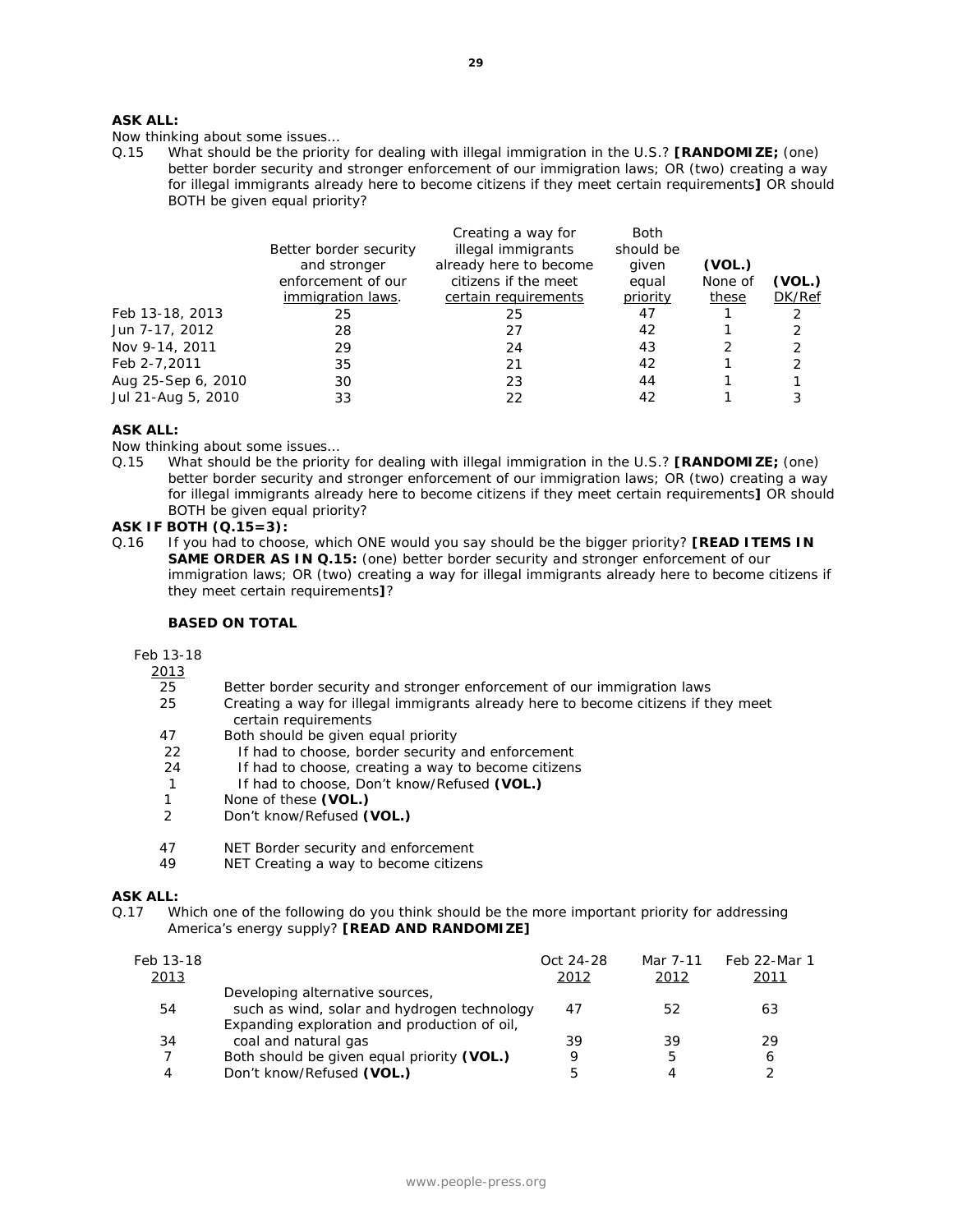# **ASK ALL:**

Now thinking about some issues…

Q.15 What should be the priority for dealing with illegal immigration in the U.S.? **[RANDOMIZE;** (one) better border security and stronger enforcement of our immigration laws; OR (two) creating a way for illegal immigrants already here to become citizens if they meet certain requirements**]** OR should BOTH be given equal priority?

| Feb 13-18, 2013<br>Jun 7-17, 2012<br>Nov 9-14, 2011<br>Feb 2-7,2011<br>Aug 25-Sep 6, 2010 | Better border security<br>and stronger<br>enforcement of our<br>immigration laws.<br>25<br>28<br>29<br>35<br>30 | Creating a way for<br>illegal immigrants<br>already here to become<br>citizens if the meet<br>certain requirements<br>25<br>27<br>24<br>21<br>23 | <b>Both</b><br>should be<br>given<br>equal<br>priority<br>47<br>42<br>43<br>42<br>44 | (VOL.)<br>None of<br>these | (VOL.)<br>DK/Ref<br>2<br>2<br>$\mathcal{P}$<br>2 |
|-------------------------------------------------------------------------------------------|-----------------------------------------------------------------------------------------------------------------|--------------------------------------------------------------------------------------------------------------------------------------------------|--------------------------------------------------------------------------------------|----------------------------|--------------------------------------------------|
|                                                                                           |                                                                                                                 |                                                                                                                                                  |                                                                                      |                            |                                                  |
| Jul 21-Aug 5, 2010                                                                        | 33                                                                                                              | 22                                                                                                                                               | 42                                                                                   |                            |                                                  |
|                                                                                           |                                                                                                                 |                                                                                                                                                  |                                                                                      |                            |                                                  |

#### **ASK ALL:**

Now thinking about some issues…

Q.15 What should be the priority for dealing with illegal immigration in the U.S.? **[RANDOMIZE;** (one) better border security and stronger enforcement of our immigration laws; OR (two) creating a way for illegal immigrants already here to become citizens if they meet certain requirements**]** OR should BOTH be given equal priority?

#### **ASK IF BOTH (Q.15=3):**

Q.16 If you had to choose, which ONE would you say should be the bigger priority? **[READ ITEMS IN SAME ORDER AS IN Q.15:** (one) better border security and stronger enforcement of our immigration laws; OR (two) creating a way for illegal immigrants already here to become citizens if they meet certain requirements**]**?

#### **BASED ON TOTAL**

Feb 13-18

 $\frac{2013}{25}$ 

- 25 Better border security and stronger enforcement of our immigration laws<br>25 Creating a way for illegal immigrants already here to become citizens if the
- 25 Creating a way for illegal immigrants already here to become citizens if they meet certain requirements
- 47 Both should be given equal priority<br>22 If had to choose, border security
- 22 If had to choose, border security and enforcement<br>24 If had to choose, creating a way to become citizens
- If had to choose, creating a way to become citizens
- 1 If had to choose, Don't know/Refused **(VOL.)**
- 1 None of these **(VOL.)**<br>2 Don't know/Refused **(**
- 2 Don't know/Refused **(VOL.)**
- 47 NET Border security and enforcement<br>49 NET Creating a way to become citizen
- NET Creating a way to become citizens

#### **ASK ALL:**

Q.17 Which one of the following do you think should be the more important priority for addressing America's energy supply? **[READ AND RANDOMIZE]**

| Feb 13-18<br>2013 |                                                                                | Oct 24-28<br>2012 | Mar 7-11<br>2012 | Feb 22-Mar 1<br>2011 |
|-------------------|--------------------------------------------------------------------------------|-------------------|------------------|----------------------|
| 54                | Developing alternative sources,<br>such as wind, solar and hydrogen technology | 47                | 52               | 63                   |
|                   | Expanding exploration and production of oil,                                   |                   |                  |                      |
| 34                | coal and natural gas                                                           | 39                | 39               | 29                   |
|                   | Both should be given equal priority (VOL.)                                     | Q                 |                  | 6                    |
| 4                 | Don't know/Refused (VOL.)                                                      | 5                 |                  |                      |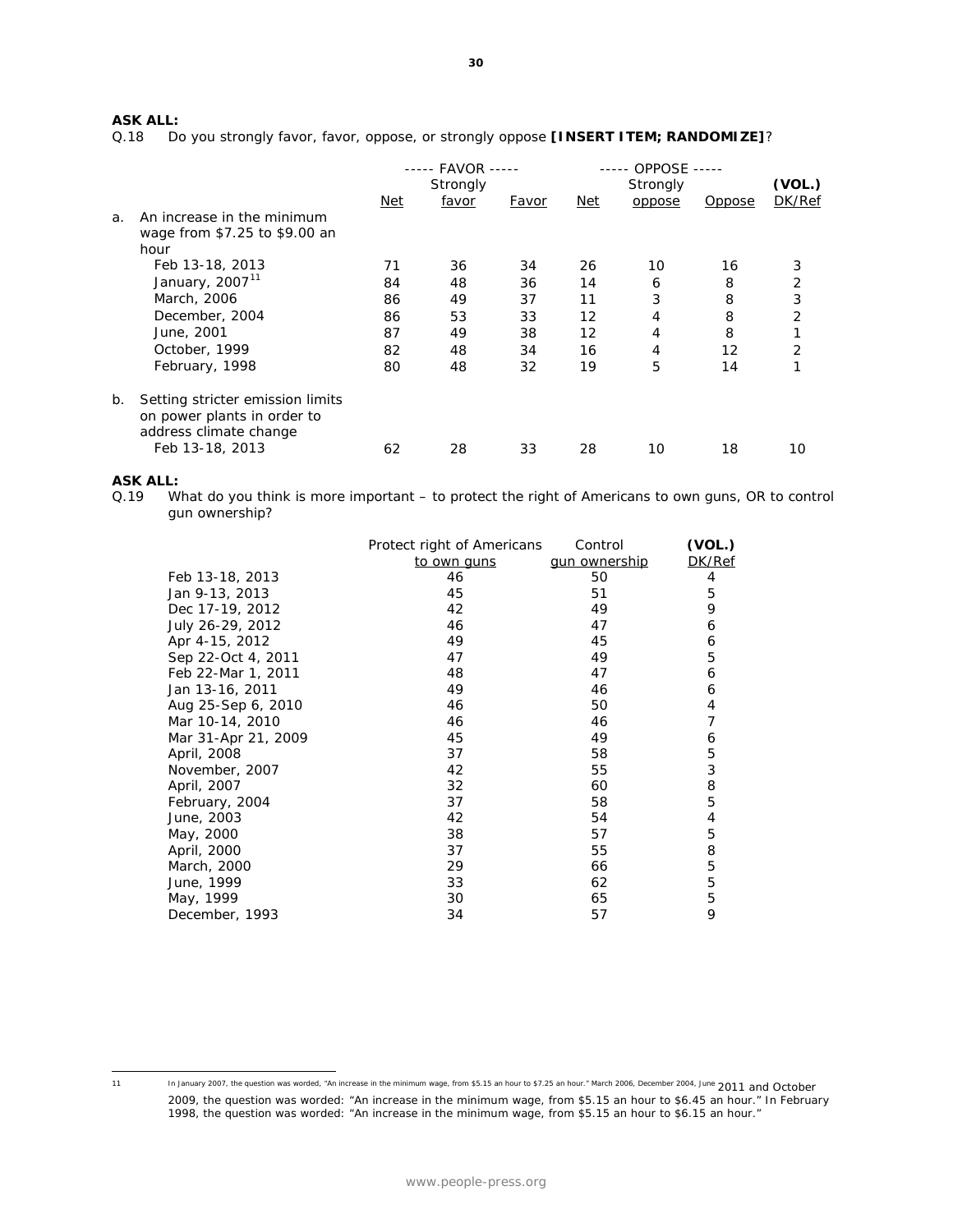# **ASK ALL:**

Do you strongly favor, favor, oppose, or strongly oppose **[INSERT ITEM; RANDOMIZE]**?

|    |                                                                                                              |     | ----- FAVOR -----<br>Strongly |       |     | ----- OPPOSE<br>Strongly |               | (VOL.) |
|----|--------------------------------------------------------------------------------------------------------------|-----|-------------------------------|-------|-----|--------------------------|---------------|--------|
|    |                                                                                                              | Net | favor                         | Favor | Net | oppose                   | <i>Oppose</i> | DK/Ref |
| a. | An increase in the minimum<br>wage from \$7.25 to \$9.00 an<br>hour                                          |     |                               |       |     |                          |               |        |
|    | Feb 13-18, 2013                                                                                              | 71  | 36                            | 34    | 26  | 10                       | 16            | 3      |
|    | January, 2007 <sup>11</sup>                                                                                  | 84  | 48                            | 36    | 14  | 6                        | 8             | 2      |
|    | March, 2006                                                                                                  | 86  | 49                            | 37    | 11  | 3                        | 8             | 3      |
|    | December, 2004                                                                                               | 86  | 53                            | 33    | 12  | 4                        | 8             | 2      |
|    | June, 2001                                                                                                   | 87  | 49                            | 38    | 12  | 4                        | 8             |        |
|    | October, 1999                                                                                                | 82  | 48                            | 34    | 16  | 4                        | 12            | 2      |
|    | February, 1998                                                                                               | 80  | 48                            | 32    | 19  | 5                        | 14            |        |
| b. | Setting stricter emission limits<br>on power plants in order to<br>address climate change<br>Feb 13-18, 2013 | 62  | 28                            | 33    | 28  | 10                       | 18            | 10     |
|    |                                                                                                              |     |                               |       |     |                          |               |        |

#### **ASK ALL:**

Q.19 What do you think is more important – to protect the right of Americans to own guns, OR to control gun ownership?

|                     | Protect right of Americans | Control              | (VOL.) |
|---------------------|----------------------------|----------------------|--------|
|                     | to own guns                | <u>gun ownership</u> | DK/Ref |
| Feb 13-18, 2013     | 46                         | 50                   | 4      |
| Jan 9-13, 2013      | 45                         | 51                   | 5      |
| Dec 17-19, 2012     | 42                         | 49                   | 9      |
| July 26-29, 2012    | 46                         | 47                   | 6      |
| Apr 4-15, 2012      | 49                         | 45                   | 6      |
| Sep 22-Oct 4, 2011  | 47                         | 49                   | 5      |
| Feb 22-Mar 1, 2011  | 48                         | 47                   | 6      |
| Jan 13-16, 2011     | 49                         | 46                   | 6      |
| Aug 25-Sep 6, 2010  | 46                         | 50                   | 4      |
| Mar 10-14, 2010     | 46                         | 46                   | 7      |
| Mar 31-Apr 21, 2009 | 45                         | 49                   | 6      |
| April, 2008         | 37                         | 58                   | 5      |
| November, 2007      | 42                         | 55                   | 3      |
| April, 2007         | 32                         | 60                   | 8      |
| February, 2004      | 37                         | 58                   | 5      |
| June, 2003          | 42                         | 54                   | 4      |
| May, 2000           | 38                         | 57                   | 5      |
| April, 2000         | 37                         | 55                   | 8      |
| March, 2000         | 29                         | 66                   | 5      |
| June, 1999          | 33                         | 62                   | 5      |
| May, 1999           | 30                         | 65                   | 5      |
| December, 1993      | 34                         | 57                   | 9      |

<span id="page-9-0"></span> $11$ 

In January 2007, the question was worded, "An increase in the minimum wage, from \$5.15 an hour to \$7.25 an hour." March 2006, December 2004, June 2011 and October

<sup>2009,</sup> the question was worded: "An increase in the minimum wage, from \$5.15 an hour to \$6.45 an hour." In February 1998, the question was worded: "An increase in the minimum wage, from \$5.15 an hour to \$6.15 an hour."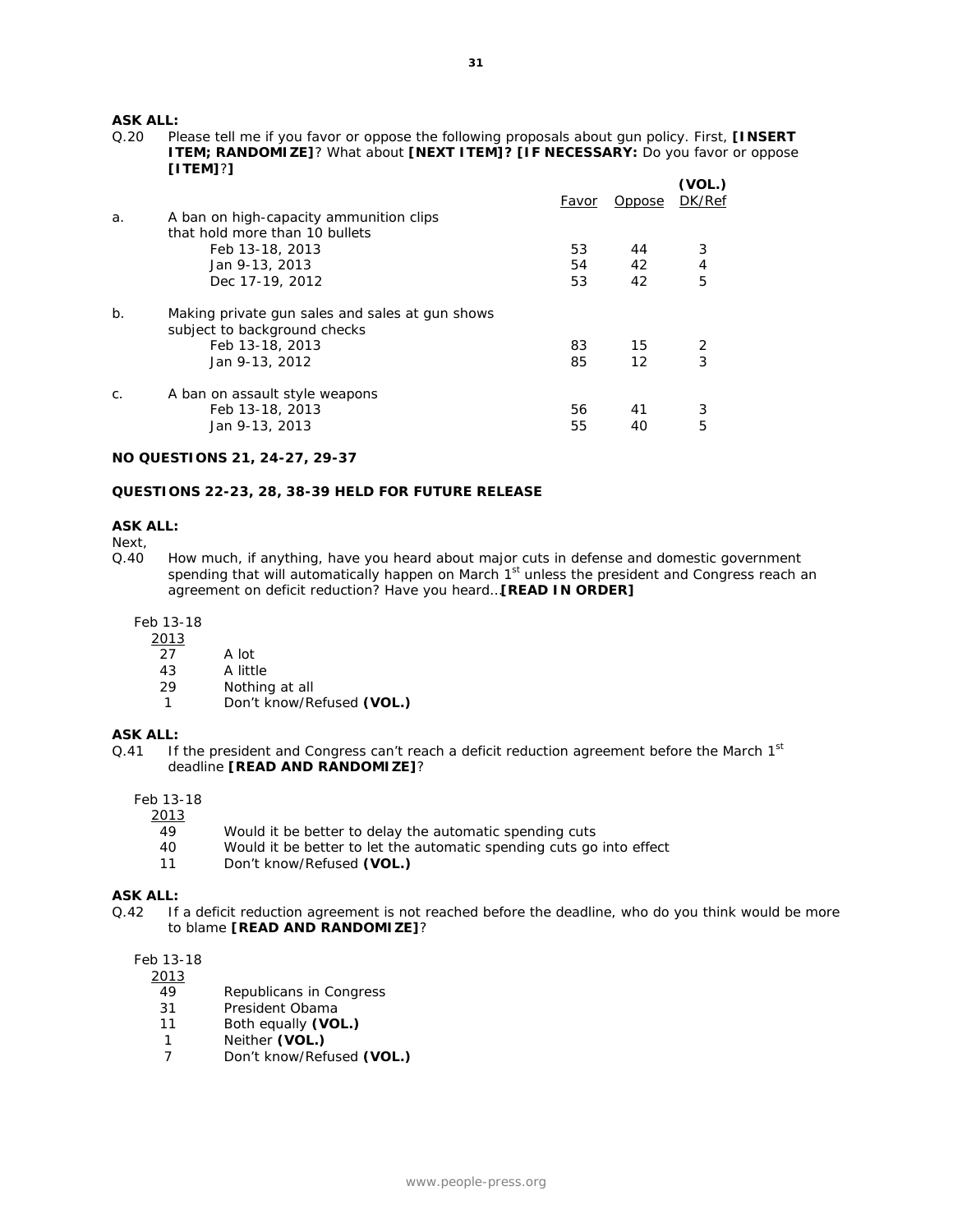**ASK ALL:**<br>0.20 PI

Please tell me if you favor or oppose the following proposals about gun policy. First, **[INSERT ITEM; RANDOMIZE]**? What about **[NEXT ITEM]? [IF NECESSARY:** Do you favor or oppose **[ITEM]**?**]**

|       |                                                                                 | Favor | Oppose | (VOL.)<br>DK/Ref |
|-------|---------------------------------------------------------------------------------|-------|--------|------------------|
| a.    | A ban on high-capacity ammunition clips                                         |       |        |                  |
|       | that hold more than 10 bullets                                                  |       |        |                  |
|       | Feb 13-18, 2013                                                                 | 53    | 44     | 3                |
|       | Jan 9-13, 2013                                                                  | 54    | 42     | $\overline{4}$   |
|       | Dec 17-19, 2012                                                                 | 53    | 42     | 5                |
| $b$ . | Making private gun sales and sales at gun shows<br>subject to background checks |       |        |                  |
|       | Feb 13-18, 2013                                                                 | 83    | 15     | 2                |
|       | Jan 9-13, 2012                                                                  | 85    | 12     | 3                |
| $C$ . | A ban on assault style weapons                                                  |       |        |                  |
|       | Feb 13-18, 2013                                                                 | 56    | 41     | 3                |
|       | Jan 9-13, 2013                                                                  | 55    | 40     | 5                |
|       |                                                                                 |       |        |                  |

# **NO QUESTIONS 21, 24-27, 29-37**

### **QUESTIONS 22-23, 28, 38-39 HELD FOR FUTURE RELEASE**

#### **ASK ALL:**

Next,

Q.40 How much, if anything, have you heard about major cuts in defense and domestic government spending that will automatically happen on March 1<sup>st</sup> unless the president and Congress reach an agreement on deficit reduction? Have you heard…**[READ IN ORDER]**

Feb 13-18

- $\frac{2013}{27}$ 
	- A lot
	- 43 A little
	- 29 Nothing at all
	- 1 Don't know/Refused **(VOL.)**

#### **ASK ALL:**

Q.41 If the president and Congress can't reach a deficit reduction agreement before the March  $1<sup>st</sup>$ deadline **[READ AND RANDOMIZE]**?

Feb 13-18

 $\frac{2013}{49}$ 

- 49 Would it be better to delay the automatic spending cuts<br>40 Would it be better to let the automatic spending cuts go
- 40 Would it be better to let the automatic spending cuts go into effect<br>11 Don't know/Refused (VOL.)
- Don't know/Refused (VOL.)

#### **ASK ALL:**

Q.42 If a deficit reduction agreement is not reached before the deadline, who do you think would be more to blame **[READ AND RANDOMIZE]**?

## Feb 13-18

2013

- 49 Republicans in Congress<br>31 President Obama
- President Obama
- 11 Both equally **(VOL.)**
- 1 Neither **(VOL.)**
- 7 Don't know/Refused **(VOL.)**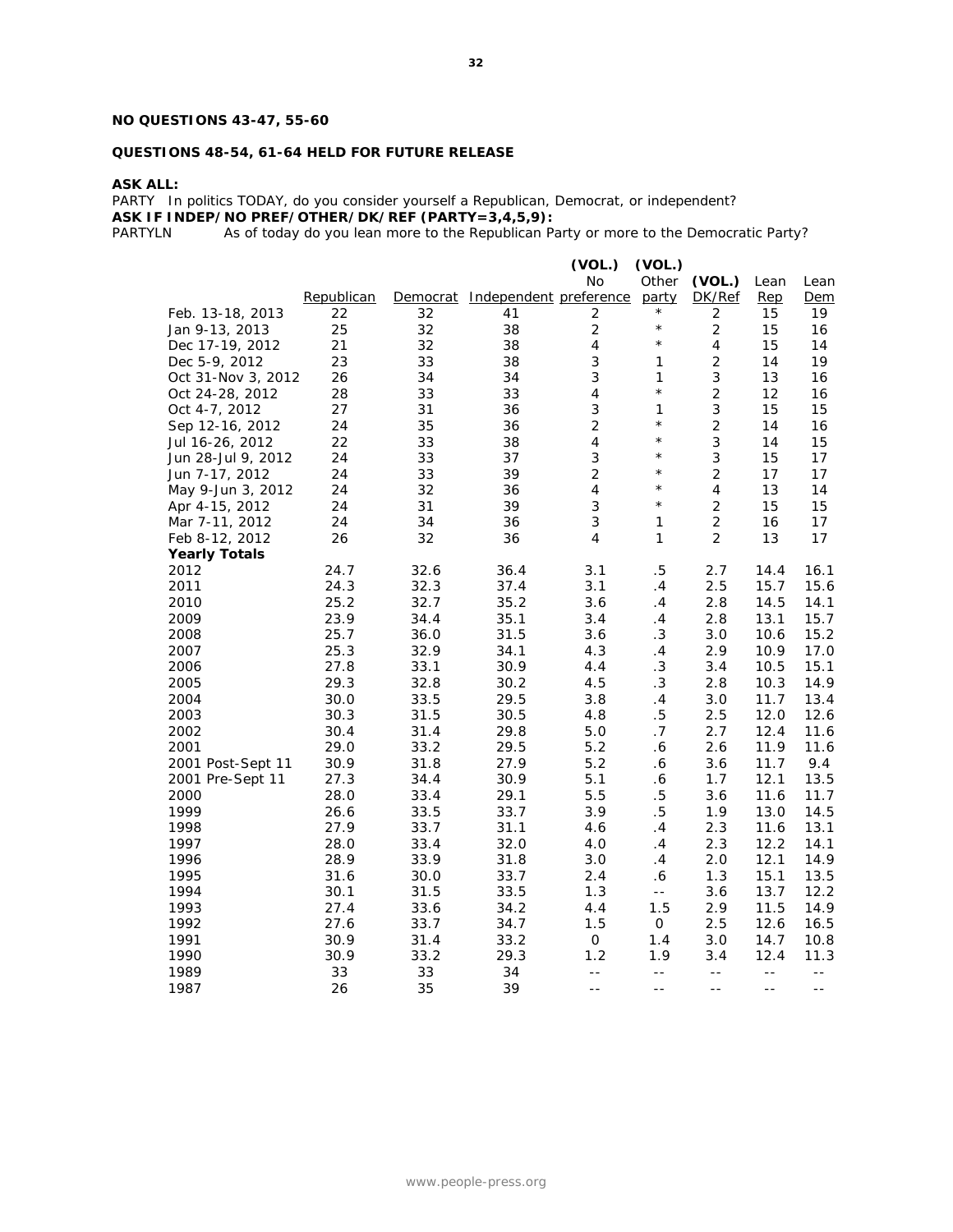# **NO QUESTIONS 43-47, 55-60**

# **QUESTIONS 48-54, 61-64 HELD FOR FUTURE RELEASE**

**ASK ALL:**

PARTY In politics TODAY, do you consider yourself a Republican, Democrat, or independent?

**ASK IF INDEP/NO PREF/OTHER/DK/REF (PARTY=3,4,5,9):**<br>PARTYLN As of today do you lean more to the Republican Pa

As of today do you lean more to the Republican Party or more to the Democratic Party?

|                      |            |          |                        | (VOL.)<br><b>No</b> | (VOL.)<br>Other | (VOL.)         | Lean  | Lean  |
|----------------------|------------|----------|------------------------|---------------------|-----------------|----------------|-------|-------|
|                      | Republican | Democrat | Independent preference |                     | party           | DK/Ref         | Rep   | Dem   |
| Feb. 13-18, 2013     | 22         | 32       | 41                     | 2                   | $\star$         | 2              | 15    | 19    |
| Jan 9-13, 2013       | 25         | 32       | 38                     | $\overline{2}$      | $^{\star}$      | $\overline{2}$ | 15    | 16    |
| Dec 17-19, 2012      | 21         | 32       | 38                     | $\overline{4}$      | $\star$         | 4              | 15    | 14    |
| Dec 5-9, 2012        | 23         | 33       | 38                     | 3                   | 1               | $\overline{2}$ | 14    | 19    |
| Oct 31-Nov 3, 2012   | 26         | 34       | 34                     | 3                   | 1               | 3              | 13    | 16    |
| Oct 24-28, 2012      | 28         | 33       | 33                     | $\overline{4}$      | $\star$         | $\overline{2}$ | 12    | 16    |
| Oct 4-7, 2012        | 27         | 31       | 36                     | 3                   | 1               | 3              | 15    | 15    |
| Sep 12-16, 2012      | 24         | 35       | 36                     | $\overline{2}$      | $\star$         | $\overline{2}$ | 14    | 16    |
| Jul 16-26, 2012      | 22         | 33       | 38                     | $\overline{4}$      | $\star$         | 3              | 14    | 15    |
| Jun 28-Jul 9, 2012   | 24         | 33       | 37                     | 3                   | $\star$         | 3              | 15    | 17    |
| Jun 7-17, 2012       | 24         | 33       | 39                     | $\overline{2}$      | $\star$         | $\overline{2}$ | 17    | 17    |
| May 9-Jun 3, 2012    | 24         | 32       | 36                     | $\overline{4}$      | $\star$         | $\overline{4}$ | 13    | 14    |
| Apr 4-15, 2012       | 24         | 31       | 39                     | 3                   | $\star$         | $\overline{2}$ | 15    | 15    |
| Mar 7-11, 2012       | 24         | 34       | 36                     | 3                   | 1               | $\overline{2}$ | 16    | 17    |
| Feb 8-12, 2012       | 26         | 32       | 36                     | 4                   | 1               | $\overline{2}$ | 13    | 17    |
| <b>Yearly Totals</b> |            |          |                        |                     |                 |                |       |       |
| 2012                 | 24.7       | 32.6     | 36.4                   | 3.1                 | $.5\,$          | 2.7            | 14.4  | 16.1  |
| 2011                 | 24.3       | 32.3     | 37.4                   | 3.1                 | .4              | 2.5            | 15.7  | 15.6  |
| 2010                 | 25.2       | 32.7     | 35.2                   | 3.6                 | . 4             | 2.8            | 14.5  | 14.1  |
| 2009                 | 23.9       | 34.4     | 35.1                   | 3.4                 | .4              | 2.8            | 13.1  | 15.7  |
| 2008                 | 25.7       | 36.0     | 31.5                   | 3.6                 | .3              | 3.0            | 10.6  | 15.2  |
| 2007                 | 25.3       | 32.9     | 34.1                   | 4.3                 | .4              | 2.9            | 10.9  | 17.0  |
| 2006                 | 27.8       | 33.1     | 30.9                   | 4.4                 | $\cdot$ 3       | 3.4            | 10.5  | 15.1  |
| 2005                 | 29.3       | 32.8     | 30.2                   | 4.5                 | .3              | 2.8            | 10.3  | 14.9  |
| 2004                 | 30.0       | 33.5     | 29.5                   | 3.8                 | .4              | 3.0            | 11.7  | 13.4  |
| 2003                 | 30.3       | 31.5     | 30.5                   | 4.8                 | $.5\,$          | $2.5\,$        | 12.0  | 12.6  |
| 2002                 | 30.4       | 31.4     | 29.8                   | 5.0                 | .7              | 2.7            | 12.4  | 11.6  |
| 2001                 | 29.0       | 33.2     | 29.5                   | 5.2                 | .6              | 2.6            | 11.9  | 11.6  |
| 2001 Post-Sept 11    | 30.9       | 31.8     | 27.9                   | 5.2                 | . 6             | 3.6            | 11.7  | 9.4   |
| 2001 Pre-Sept 11     | 27.3       | 34.4     | 30.9                   | 5.1                 | . 6             | 1.7            | 12.1  | 13.5  |
| 2000                 | 28.0       | 33.4     | 29.1                   | 5.5                 | .5              | 3.6            | 11.6  | 11.7  |
| 1999                 | 26.6       | 33.5     | 33.7                   | 3.9                 | $.5\,$          | 1.9            | 13.0  | 14.5  |
| 1998                 | 27.9       | 33.7     | 31.1                   | 4.6                 | .4              | 2.3            | 11.6  | 13.1  |
| 1997                 | 28.0       | 33.4     | 32.0                   | 4.0                 | $\cdot$         | 2.3            | 12.2  | 14.1  |
| 1996                 | 28.9       | 33.9     | 31.8                   | 3.0                 | $\cdot$ 4       | 2.0            | 12.1  | 14.9  |
| 1995                 | 31.6       | 30.0     | 33.7                   | 2.4                 | 6.6             | 1.3            | 15.1  | 13.5  |
| 1994                 | 30.1       | 31.5     | 33.5                   | 1.3                 | $\overline{a}$  | 3.6            | 13.7  | 12.2  |
| 1993                 | 27.4       | 33.6     | 34.2                   | 4.4                 | 1.5             | 2.9            | 11.5  | 14.9  |
| 1992                 | 27.6       | 33.7     | 34.7                   | 1.5                 | $\mathbf{O}$    | 2.5            | 12.6  | 16.5  |
| 1991                 | 30.9       | 31.4     | 33.2                   | 0                   | 1.4             | 3.0            | 14.7  | 10.8  |
| 1990                 | 30.9       | 33.2     | 29.3                   | 1.2                 | 1.9             | 3.4            | 12.4  | 11.3  |
| 1989                 | 33         | 33       | 34                     | $- -$               | $- -$           | $- -$          | $- -$ | $- -$ |
| 1987                 | 26         | 35       | 39                     | $=$ $-$             | $=$ $-$         | $-$            | $-$   | $ -$  |